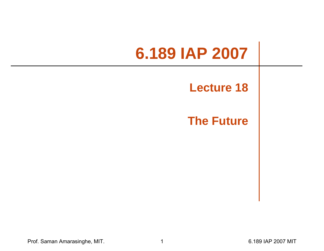# **6.189 IAP 2007**

### **Lecture 18**

### **The Future**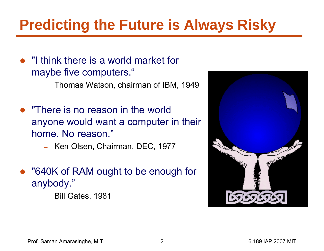# **Predicting the Future is Always Risky**

- "I think there is a world market for maybe five computers."
	- Thomas Watson, chairman of IBM, 1949
- "There is no reason in the world anyone would want a computer in their home. No reason."
	- Ken Olsen, Chairman, DEC, 1977
- "640K of RAM ought to be enough for anybody."
	- Bill Gates, 1981

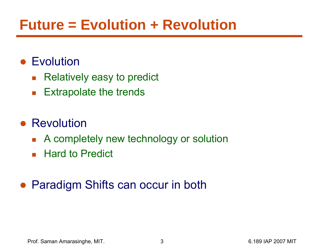## **Future = Evolution + Revolution**

### ● Evolution

- $\mathcal{L}_{\mathcal{A}}$ Relatively easy to predict
- $\mathcal{L}_{\mathcal{A}}$ Extrapolate the trends

### ● Revolution

- $\mathcal{L}^{\text{max}}_{\text{max}}$ A completely new technology or solution
- Hard to Predict

### ● Paradigm Shifts can occur in both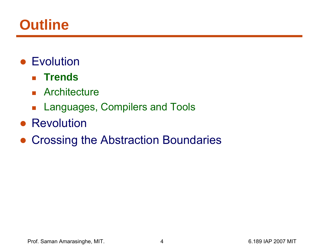### **Outline**

- Evolution
	- **Trends**
	- **Architecture**
	- **Languages, Compilers and Tools**
- Revolution
- $\bullet$ Crossing the Abstraction Boundaries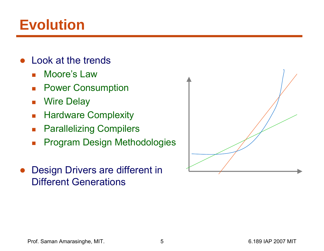### **Evolution**

- $\bullet$  Look at the trends
	- $\mathcal{L}^{\text{max}}_{\text{max}}$ Moore's Law
	- $\mathcal{L}_{\mathcal{A}}$ Power Consumption
	- $\mathcal{L}_{\mathcal{A}}$ Wire Delay
	- $\mathcal{L}_{\mathcal{A}}$ Hardware Complexity
	- $\mathcal{L}_{\mathcal{A}}$ Parallelizing Compilers
	- $\overline{\phantom{a}}$ Program Design Methodologies
- ● Design Drivers are different in Different Generations

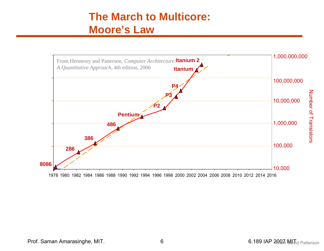### **The March to Multicore: Moore's Law**



Prof. Saman Amarasinghe, MIT. 6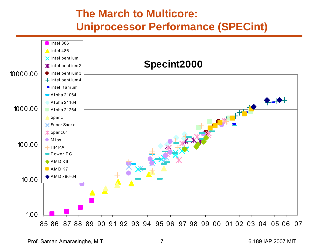### **The March to Multicore: Uniprocessor Performance (SPECint)**

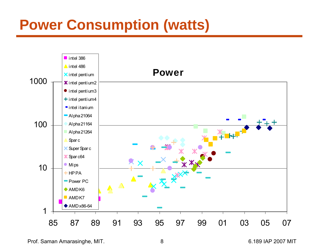## **Power Consumption (watts)**



Prof. Saman Amarasinghe, MIT. 6.189 IAP 2007 MIT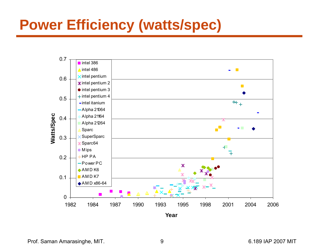## **Power Efficiency (watts/spec)**



Prof. Saman Amarasinghe, MIT. 2007 19 8 189 14 1 2007 MIT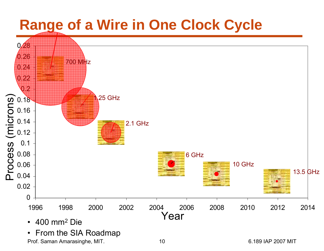### **Range of a Wire in One Clock Cycle**

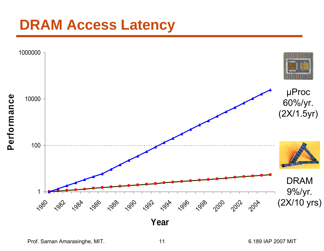### **DRAM Access Latency**



Prof. Saman Amarasinghe, MIT. 11 6.189 IAP 2007 MIT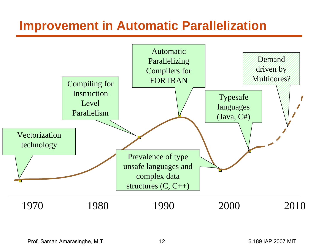### **Improvement in Automatic Parallelization**



Prof. Saman Amarasinghe, MIT. 12 12 6.189 IAP 2007 MIT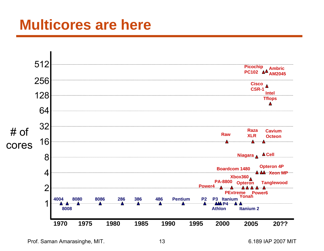### **Multicores are here**



Prof. Saman Amarasinghe, MIT. 13 13 6.189 IAP 2007 MIT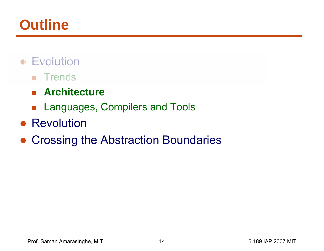### **Outline**

- Evolution
	- **n** Trends
	- **Architecture**
	- $\mathcal{L}_{\mathcal{A}}$ Languages, Compilers and Tools
- Revolution
- $\bullet$ Crossing the Abstraction Boundaries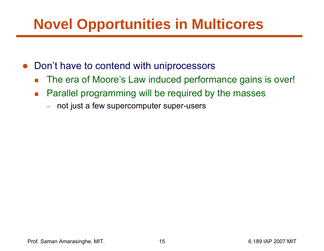## **Novel Opportunities in Multicores**

- $\bullet$  Don't have to contend with uniprocessors
	- $\overline{\mathbb{R}^n}$ The era of Moore's Law induced performance gains is over!
	- $\mathcal{C}^{\mathcal{A}}$  Parallel programming will be required by the masses
		- –not just a few supercomputer super-users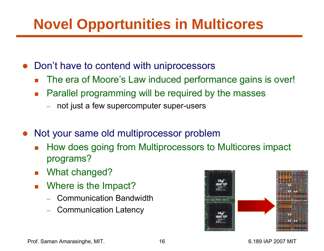# **Novel Opportunities in Multicores**

- $\bullet$  Don't have to contend with uniprocessors
	- F The era of Moore's Law induced performance gains is over!
	- $\mathcal{C}^{\mathcal{A}}$  Parallel programming will be required by the masses
		- –not just a few supercomputer super-users
- ● Not your same old multiprocessor problem
	- П How does going from Multiprocessors to Multicores impact programs?
	- $\mathcal{L}_{\text{max}}$ What changed?
	- $\overline{\mathcal{A}}$  Where is the Impact?
		- –Communication Bandwidth
		- –Communication Latency

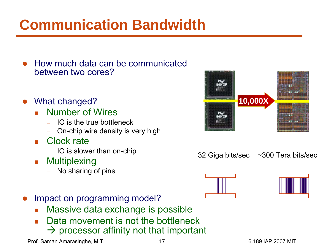# **Communication Bandwidth**

- $\bullet$  How much data can be communicated between two cores?
- $\bullet$  What changed?
	- П Number of Wires
		- IO is the true bottleneck
		- On-chip wire density is very high
	- П Clock rate
		- IO is slower than on-chip
	- $\mathcal{L}^{\mathcal{L}}$ **Multiplexing** 
		- No sharing of pins



- H Massive data exchange is possible
- H Data movement is not the bottleneck  $\rightarrow$  processor affinity not that important











Prof. Saman Amarasinghe, MIT. 17 17 17 17 18 189 IAP 2007 MIT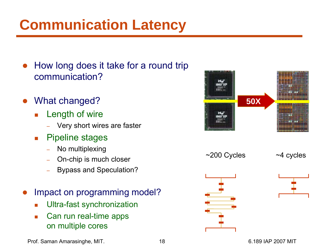# **Communication Latency**

- ● How long does it take for a round trip communication?
- ● What changed?
	- $\overline{\mathcal{A}}$  Length of wire
		- Very short wires are faster
	- $\overline{\mathcal{A}}$  Pipeline stages
		- No multiplexing
		- On-chip is much closer
		- Bypass and Speculation?
- $\bullet$  Impact on programming model?
	- $\Box$ Ultra-fast synchronization
	- $\overline{\phantom{a}}$  Can run real-time apps on multiple cores



Prof. Saman Amarasinghe, MIT. 18 6.189 IAP 2007 MIT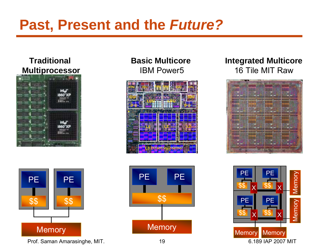## **Past, Present and the** *Future?*

### **Traditional Multiprocessor**





Prof. Saman Amarasinghe, MIT. 19 6.189 IAP 2007 MIT

### **Basic Multicore**IBM Power5





### **Integrated Multicore** 16 Tile MIT Raw



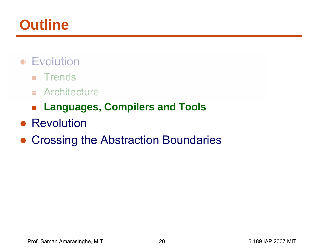## **Outline**

- Evolution
	- **Trends**
	- **Randiscript Report**
	- **Languages, Compilers and Tools**
- Revolution
- $\bullet$ Crossing the Abstraction Boundaries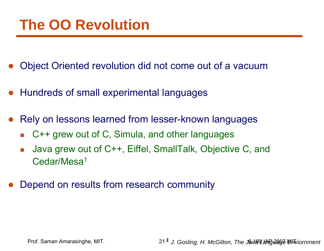### **The OO Revolution**

- ●Object Oriented revolution did not come out of a vacuum
- Hundreds of small experimental languages
- ● Rely on lessons learned from lesser-known languages
	- F C++ grew out of C, Simula, and other languages
	- $\mathcal{C}_{\mathcal{A}}$  Java grew out of C++, Eiffel, SmallTalk, Objective C, and Cedar/Mesa1
- $\bullet$ Depend on results from research community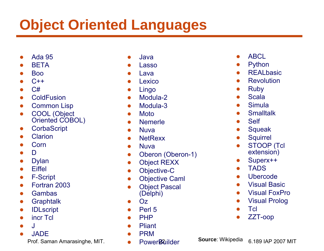# **Object Oriented Languages**

- $\bullet$ Ada 95
- ●**BETA**
- ●Boo
- ● $C++$
- ● $C#$
- ●**ColdFusion**
- ●Common Lisp
- $\bullet$ • COOL (Object Oriented COBOL)
- ●**CorbaScript**
- ●Clarion
- ●Corn
- ●D
- ●Dylan
- ●**Eiffel**
- ●F-Script
- ●Fortran 2003
- ●Gambas
- ●**Graphtalk**
- ●IDLscript
- ●incr Tcl
- ●J
- ●JADE

- ●Java
- ●Lasso
- ●Lava
- ●Lexico
- ●Lingo
- ●Modula-2
- $\bullet$ Modula-3
- $\bullet$ Moto
- ●Nemerle
- ●Nuva
- ●**NetRexx**
- Nuva
- ●Oberon (Oberon-1)
- ●Object REXX
- ●Objective-C
- ●Objective Caml
- ● Object Pascal (Delphi)
- ●Oz
- ●Perl 5
- ●PHP
- ●Pliant
- ●PRM
- ●**PowerBuilder**
- ●**ABCL**
- ●Python
- ●**REALbasic**
- ●**Revolution**
- ●Ruby
- ●Scala
- ●Simula
- ●**Smalltalk**
- ●Self
- ●**Squeak**
- ●**Squirrel**
- ● STOOP (Tcl extension)
- ●Superx++
- ●TADS
- ●Ubercode
- ●Visual Basic
- ●Visual FoxPro
- ●Visual Prolog
- ●**Tcl**
- ●ZZT-oop

Prof. Saman Amarasinghe, MIT. **22 6.199 IAP 2007 MIT** Power**R**uilder **2007** MIT **Source**: Wikipedia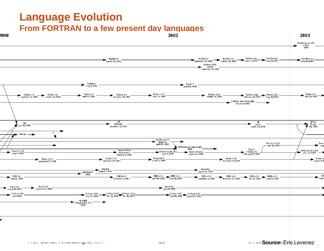### **Language Evolution From FORTRAN to a few present day languages**



Prof. Saman Amarasinghe, MIT. 23 6.189 IAP 2007 MIT

#### **Source**: Eric Levenez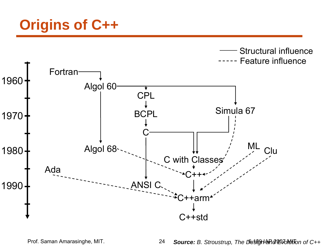## **Origins of C++**

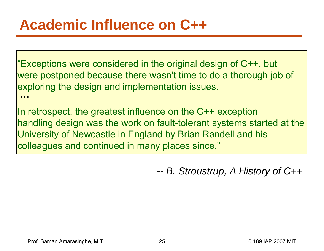"Exceptions were considered in the original design of C++, but were postponed because there wasn't time to do a thorough job of exploring the design and implementation issues. **…**

In retrospect, the greatest influence on the C++ exception handling design was the work on fault-tolerant systems started at the University of Newcastle in England by Brian Randell and his colleagues and continued in many places since."

> *-- B. Stroustrup, A History of C++*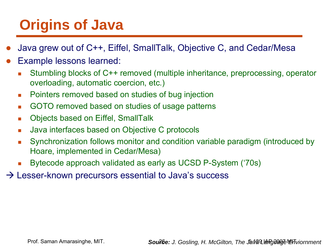# **Origins of Java**

- ●Java grew out of C++, Eiffel, SmallTalk, Objective C, and Cedar/Mesa
- ● Example lessons learned:
	- $\overline{\phantom{a}}$  Stumbling blocks of C++ removed (multiple inheritance, preprocessing, operator overloading, automatic coercion, etc.)
	- $\mathcal{C}$ Pointers removed based on studies of bug injection
	- $\mathcal{L}_{\mathcal{A}}$ GOTO removed based on studies of usage patterns
	- $\mathcal{L}_{\mathcal{A}}$ Objects based on Eiffel, SmallTalk
	- $\mathcal{L}_{\mathcal{A}}$ Java interfaces based on Objective C protocols
	- $\mathcal{L}_{\mathcal{A}}$  Synchronization follows monitor and condition variable paradigm (introduced by Hoare, implemented in Cedar/Mesa)
	- Г Bytecode approach validated as early as UCSD P-System ('70s)
- $\rightarrow$  Lesser-known precursors essential to Java's success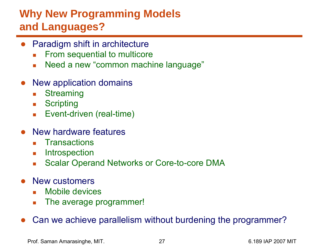### **Why New Programming Models and Languages?**

- Paradigm shift in architecture
	- $\mathbf{r}$ From sequential to multicore
	- $\mathcal{L}_{\text{max}}$ Need a new "common machine language"
- ● New application domains
	- $\mathcal{L}_{\mathcal{A}}$ **Streaming**
	- $\mathcal{L}_{\mathcal{A}}$ **Scripting**
	- $\overline{\mathcal{M}}$ Event-driven (real-time)
- New hardware features
	- $\mathcal{L}_{\text{max}}$ **Transactions**
	- $\mathcal{L}_{\mathcal{A}}$ **Introspection**
	- $\overline{\mathbb{R}^n}$ Scalar Operand Networks or Core-to-core DMA
- ● New customers
	- $\mathcal{L}_{\mathcal{A}}$ Mobile devices
	- $\mathcal{L}_{\mathcal{A}}$ The average programmer!
- ●Can we achieve parallelism without burdening the programmer?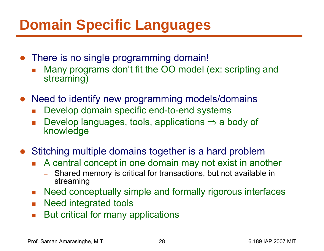## **Domain Specific Languages**

- There is no single programming domain!
	- F Many programs don't fit the OO model (ex: scripting and streaming)
- Need to identify new programming models/domains
	- F Develop domain specific end-to-end systems
	- $\mathcal{L}_{\mathcal{A}}$ ■ Develop languages, tools, applications  $\Rightarrow$  a body of knowledge
- $\bullet$  Stitching multiple domains together is a hard problem
	- F. A central concept in one domain may not exist in another
		- Shared memory is critical for transactions, but not available in streaming
	- **Need conceptually simple and formally rigorous interfaces**
	- $\mathcal{L}_{\text{max}}$ Need integrated tools
	- $\overline{\phantom{a}}$ But critical for many applications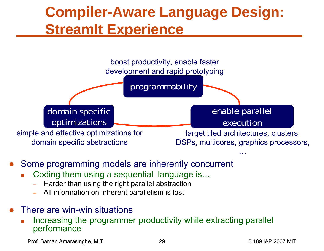### **Compiler-Aware Language Design: StreamIt Experience**



- $\bullet$  Some programming models are inherently concurrent
	- П Coding them using a sequential language is…
		- Harder than using the right parallel abstraction
		- All information on inherent parallelism is lost
- $\bullet$  There are win-win situations
	- П Increasing the programmer productivity while extracting parallel performance

Prof. Saman Amarasinghe, MIT. 29 29 6.189 IAP 2007 MIT

…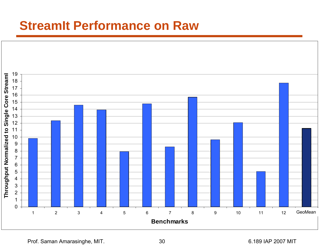### **StreamIt Performance on Raw**



Prof. Saman Amarasinghe, MIT. 2007 18: 30 6.189 IAP 2007 MIT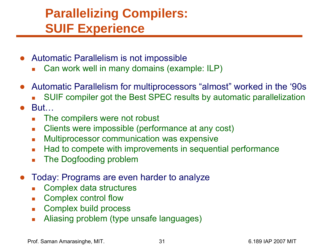### **Parallelizing Compilers: SUIF Experience**

- Automatic Parallelism is not impossible
	- Г Can work well in many domains (example: ILP)
- ● Automatic Parallelism for multiprocessors "almost" worked in the '90s
	- Г SUIF compiler got the Best SPEC results by automatic parallelization
- ● But…
	- $\mathcal{L}_{\mathcal{A}}$ The compilers were not robust
	- $\overline{\mathcal{A}}$ Clients were impossible (performance at any cost)
	- $\overline{\mathcal{A}}$ Multiprocessor communication was expensive
	- $\mathcal{L}_{\mathcal{A}}$ Had to compete with improvements in sequential performance
	- $\overline{\phantom{a}}$ The Dogfooding problem
- ● Today: Programs are even harder to analyze
	- $\overline{\phantom{a}}$ Complex data structures
	- $\overline{\mathcal{M}}$ Complex control flow
	- $\mathcal{L}_{\mathrm{in}}$ Complex build process
	- $\mathcal{C}^{\mathcal{A}}$ Aliasing problem (type unsafe languages)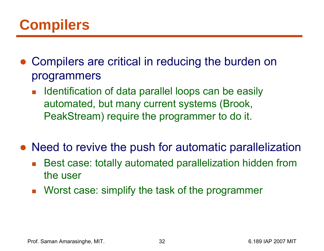## **Compilers**

- ● Compilers are critical in reducing the burden on programmers
	- $\overline{\mathbb{R}}$  Identification of data parallel loops can be easily automated, but many current systems (Brook, PeakStream) require the programmer to do it.
- Need to revive the push for automatic parallelization
	- $\mathbb{R}^2$  Best case: totally automated parallelization hidden from the user
	- **Norst case: simplify the task of the programmer**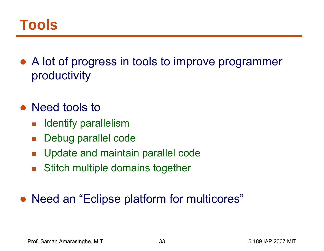### **Tools**

- ● A lot of progress in tools to improve programmer productivity
- Need tools to
	- $\mathbb{R}^3$ Identify parallelism
	- $\mathcal{L}_{\mathcal{A}}$ Debug parallel code
	- $\mathcal{L}_{\mathcal{A}}$ Update and maintain parallel code
	- $\mathcal{L}_{\mathcal{A}}$ Stitch multiple domains together

#### ●Need an "Eclipse platform for multicores"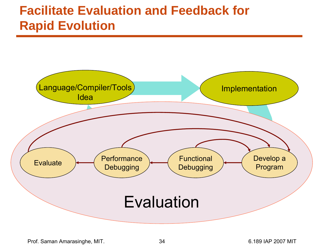### **Facilitate Evaluation and Feedback for Rapid Evolution**

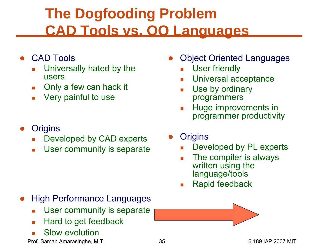## **The Dogfooding Problem CAD Tools vs. OO Languages**

- ● CAD Tools
	- Г Universally hated by the users
	- Г Only a few can hack it
	- $\overline{\mathcal{A}}$ Very painful to use
- ●**Origins** 
	- Г Developed by CAD experts
	- $\overline{\phantom{a}}$ User community is separate

- ● High Performance Languages
	- Г User community is separate
	- $\overline{\mathcal{A}}$ Hard to get feedback
	- Г Slow evolution

Prof. Saman Amarasinghe, MIT.  $\qquad \qquad 35$  8.189 IAP 2007 MIT

- ● Object Oriented Languages
	- Г User friendly
	- Г Universal acceptance
	- Г Use by ordinary programmers
	- $\mathcal{L}_{\mathcal{A}}$  Huge improvements in programmer productivity
- ●**Origins** 
	- Г Developed by PL experts
	- Г The compiler is always written using the language/tools
	- Г Rapid feedback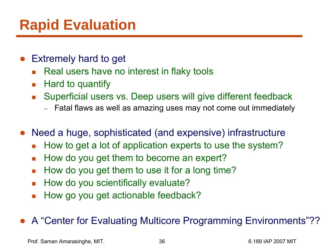## **Rapid Evaluation**

- ● Extremely hard to get
	- $\mathcal{L}^{\mathcal{L}}$  . Real users have no interest in flaky tools
	- $\mathcal{L}_{\rm{max}}$ Hard to quantify
	- $\overline{\mathcal{A}}$  Superficial users vs. Deep users will give different feedback
		- Fatal flaws as well as amazing uses may not come out immediately
- ● Need a huge, sophisticated (and expensive) infrastructure
	- $\overline{\mathcal{L}}$ How to get a lot of application experts to use the system?
	- $\mathcal{L}_{\mathcal{A}}$ How do you get them to become an expert?
	- $\mathcal{L}_{\mathcal{A}}$ How do you get them to use it for a long time?
	- $\mathcal{C}^{\mathcal{A}}$ How do you scientifically evaluate?
	- $\overline{\phantom{a}}$ How go you get actionable feedback?

#### ●A "Center for Evaluating Multicore Programming Environments"??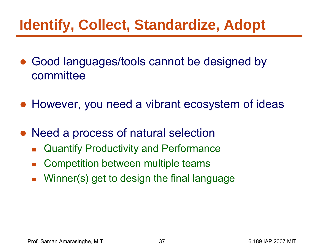# **Identify, Collect, Standardize, Adopt**

- ● Good languages/tools cannot be designed by committee
- However, you need a vibrant ecosystem of ideas
- $\bullet$  Need a process of natural selection
	- $\mathcal{L}_{\mathcal{A}}$ Quantify Productivity and Performance
	- b. Competition between multiple teams
	- $\mathcal{L}_{\mathcal{A}}$ Winner(s) get to design the final language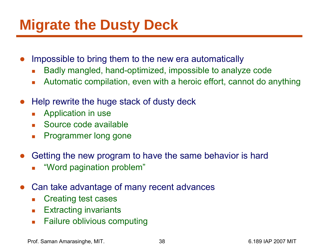## **Migrate the Dusty Deck**

- ● Impossible to bring them to the new era automatically
	- $\overline{\mathcal{A}}$ Badly mangled, hand-optimized, impossible to analyze code
	- $\mathcal{L}_{\mathcal{A}}$ Automatic compilation, even with a heroic effort, cannot do anything
- ● Help rewrite the huge stack of dusty deck
	- $\mathcal{L}_{\mathcal{A}}$ Application in use
	- **Source code available**
	- $\overline{\phantom{a}}$ Programmer long gone
- ● Getting the new program to have the same behavior is hard
	- Г "Word pagination problem"
- ● Can take advantage of many recent advances
	- $\overline{\mathcal{A}}$ Creating test cases
	- $\mathcal{L}(\mathcal{A})$ Extracting invariants
	- $\mathcal{L}_{\mathcal{A}}$ Failure oblivious computing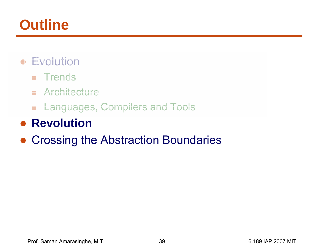## **Outline**

- Evolution
	- **Trends**
	- **Randiscript Report**
	- Languages, Compilers and Tools

### ● **Revolution**

#### $\bullet$ Crossing the Abstraction Boundaries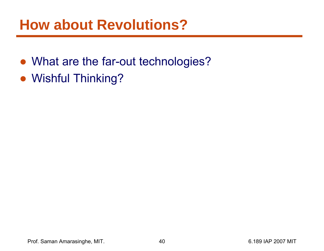### **How about Revolutions?**

- What are the far-out technologies?
- Wishful Thinking?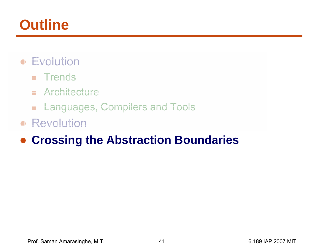## **Outline**

- Evolution
	- **Trends**
	- **Randiscript Report**
	- Languages, Compilers and Tools
- Revolution

#### $\bullet$ **Crossing the Abstraction Boundaries**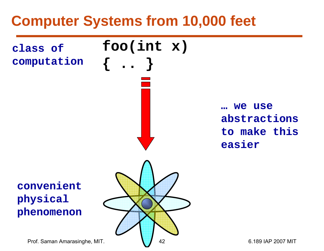### **Computer Systems from 10,000 feet**



Prof. Saman Amarasinghe, MIT.  $\begin{array}{|c|c|c|c|c|} \hline \quad & 42 & \quad \text{6.189 IAP 2007 MIT} \ \end{array}$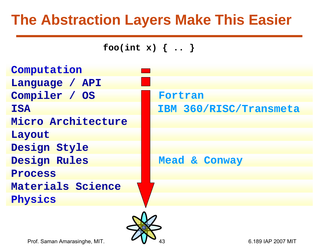### **The Abstraction Layers Make This Easier**



Prof. Saman Amarasinghe, MIT. **2007 IV 12009** 43 6.189 IAP 2007 MIT